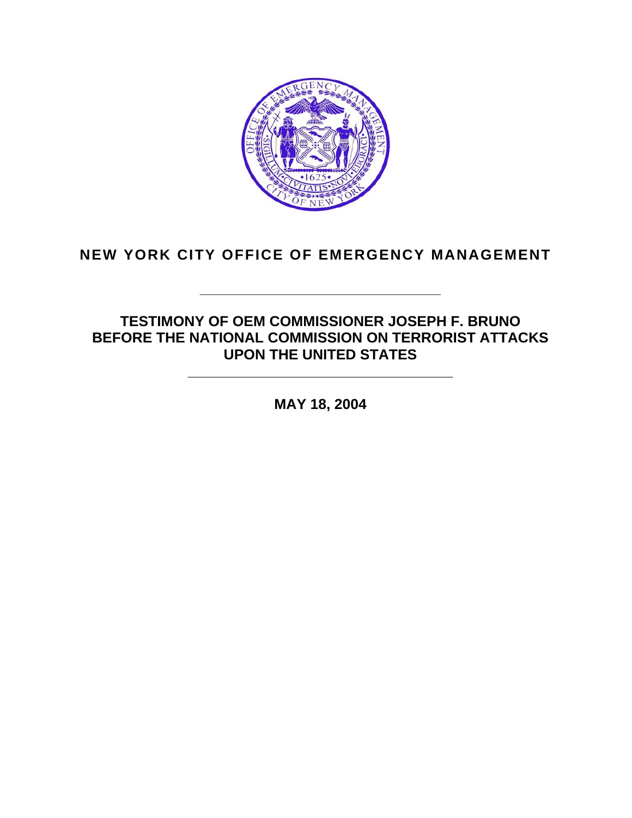

### **NEW YORK CITY OFFICE OF EMERGENCY MANAGEMENT**

### **TESTIMONY OF OEM COMMISSIONER JOSEPH F. BRUNO BEFORE THE NATIONAL COMMISSION ON TERRORIST ATTACKS UPON THE UNITED STATES**

**\_\_\_\_\_\_\_\_\_\_\_\_\_\_\_\_\_\_\_\_\_\_\_\_\_\_\_\_\_\_\_\_\_\_\_** 

**MAY 18, 2004** 

**\_\_\_\_\_\_\_\_\_\_\_\_\_\_\_\_\_\_\_\_\_\_\_\_\_\_\_\_\_\_\_\_\_**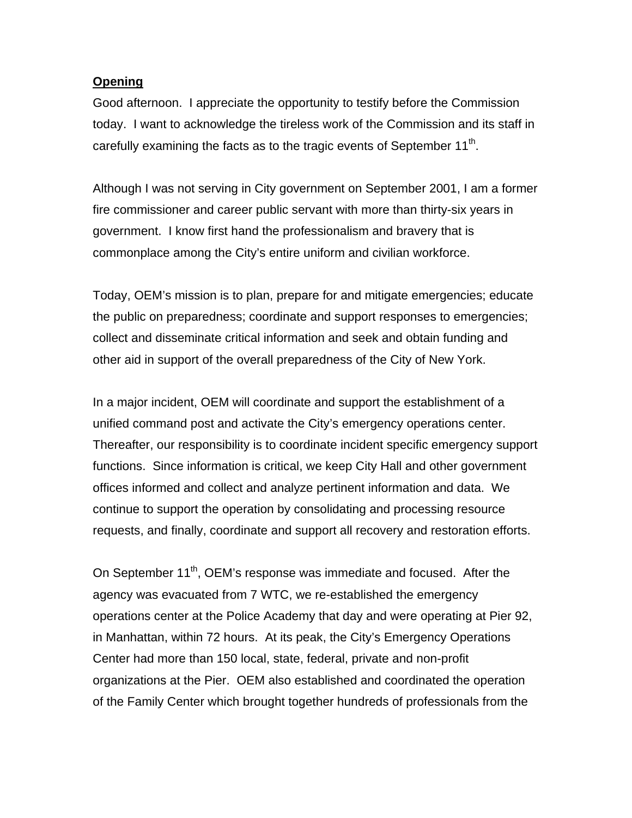#### **Opening**

Good afternoon. I appreciate the opportunity to testify before the Commission today. I want to acknowledge the tireless work of the Commission and its staff in carefully examining the facts as to the tragic events of September  $11<sup>th</sup>$ .

Although I was not serving in City government on September 2001, I am a former fire commissioner and career public servant with more than thirty-six years in government. I know first hand the professionalism and bravery that is commonplace among the City's entire uniform and civilian workforce.

Today, OEM's mission is to plan, prepare for and mitigate emergencies; educate the public on preparedness; coordinate and support responses to emergencies; collect and disseminate critical information and seek and obtain funding and other aid in support of the overall preparedness of the City of New York.

In a major incident, OEM will coordinate and support the establishment of a unified command post and activate the City's emergency operations center. Thereafter, our responsibility is to coordinate incident specific emergency support functions. Since information is critical, we keep City Hall and other government offices informed and collect and analyze pertinent information and data. We continue to support the operation by consolidating and processing resource requests, and finally, coordinate and support all recovery and restoration efforts.

On September 11<sup>th</sup>, OEM's response was immediate and focused. After the agency was evacuated from 7 WTC, we re-established the emergency operations center at the Police Academy that day and were operating at Pier 92, in Manhattan, within 72 hours. At its peak, the City's Emergency Operations Center had more than 150 local, state, federal, private and non-profit organizations at the Pier. OEM also established and coordinated the operation of the Family Center which brought together hundreds of professionals from the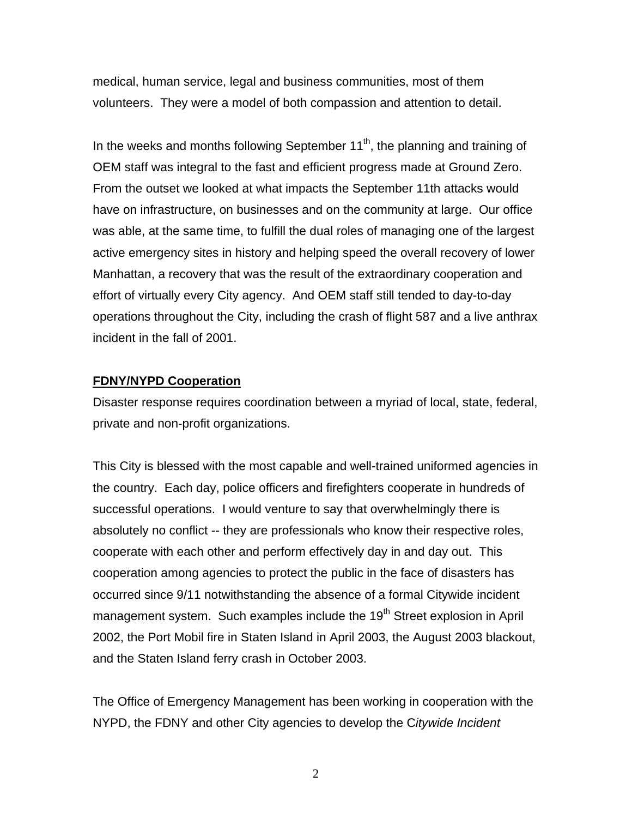medical, human service, legal and business communities, most of them volunteers. They were a model of both compassion and attention to detail.

In the weeks and months following September  $11<sup>th</sup>$ , the planning and training of OEM staff was integral to the fast and efficient progress made at Ground Zero. From the outset we looked at what impacts the September 11th attacks would have on infrastructure, on businesses and on the community at large. Our office was able, at the same time, to fulfill the dual roles of managing one of the largest active emergency sites in history and helping speed the overall recovery of lower Manhattan, a recovery that was the result of the extraordinary cooperation and effort of virtually every City agency. And OEM staff still tended to day-to-day operations throughout the City, including the crash of flight 587 and a live anthrax incident in the fall of 2001.

#### **FDNY/NYPD Cooperation**

Disaster response requires coordination between a myriad of local, state, federal, private and non-profit organizations.

This City is blessed with the most capable and well-trained uniformed agencies in the country. Each day, police officers and firefighters cooperate in hundreds of successful operations. I would venture to say that overwhelmingly there is absolutely no conflict -- they are professionals who know their respective roles, cooperate with each other and perform effectively day in and day out. This cooperation among agencies to protect the public in the face of disasters has occurred since 9/11 notwithstanding the absence of a formal Citywide incident management system. Such examples include the 19<sup>th</sup> Street explosion in April 2002, the Port Mobil fire in Staten Island in April 2003, the August 2003 blackout, and the Staten Island ferry crash in October 2003.

The Office of Emergency Management has been working in cooperation with the NYPD, the FDNY and other City agencies to develop the C*itywide Incident*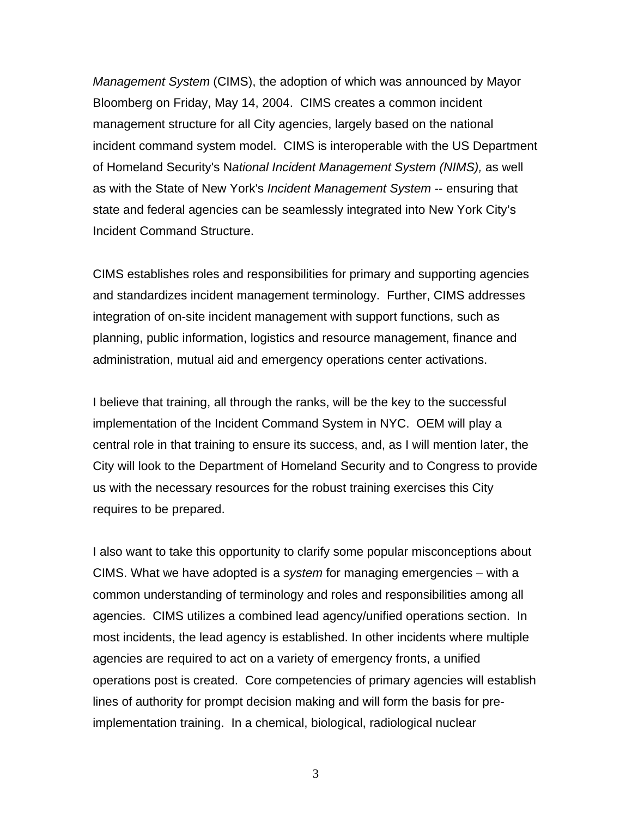*Management System* (CIMS), the adoption of which was announced by Mayor Bloomberg on Friday, May 14, 2004. CIMS creates a common incident management structure for all City agencies, largely based on the national incident command system model. CIMS is interoperable with the US Department of Homeland Security's N*ational Incident Management System (NIMS),* as well as with the State of New York's *Incident Management System* -- ensuring that state and federal agencies can be seamlessly integrated into New York City's Incident Command Structure.

CIMS establishes roles and responsibilities for primary and supporting agencies and standardizes incident management terminology. Further, CIMS addresses integration of on-site incident management with support functions, such as planning, public information, logistics and resource management, finance and administration, mutual aid and emergency operations center activations.

I believe that training, all through the ranks, will be the key to the successful implementation of the Incident Command System in NYC. OEM will play a central role in that training to ensure its success, and, as I will mention later, the City will look to the Department of Homeland Security and to Congress to provide us with the necessary resources for the robust training exercises this City requires to be prepared.

I also want to take this opportunity to clarify some popular misconceptions about CIMS. What we have adopted is a *system* for managing emergencies – with a common understanding of terminology and roles and responsibilities among all agencies. CIMS utilizes a combined lead agency/unified operations section. In most incidents, the lead agency is established. In other incidents where multiple agencies are required to act on a variety of emergency fronts, a unified operations post is created. Core competencies of primary agencies will establish lines of authority for prompt decision making and will form the basis for preimplementation training. In a chemical, biological, radiological nuclear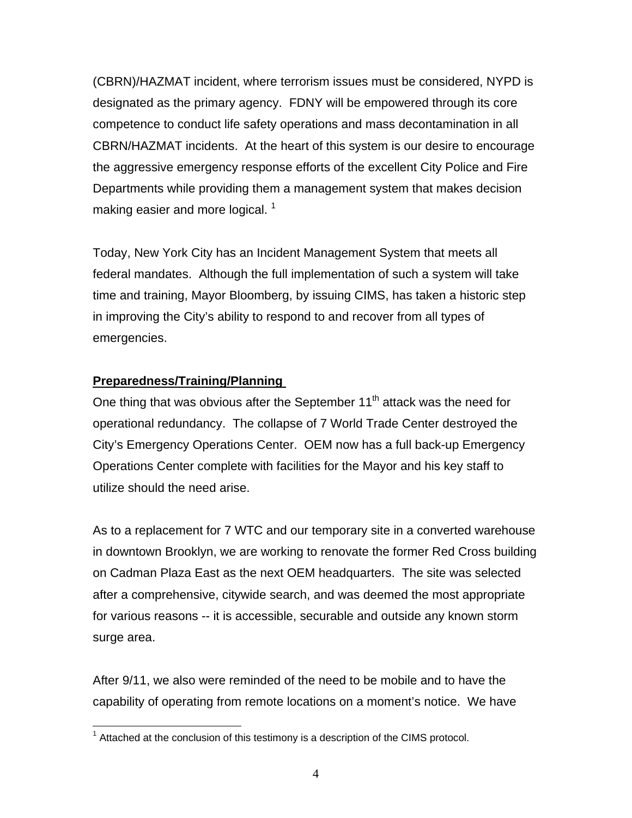(CBRN)/HAZMAT incident, where terrorism issues must be considered, NYPD is designated as the primary agency. FDNY will be empowered through its core competence to conduct life safety operations and mass decontamination in all CBRN/HAZMAT incidents. At the heart of this system is our desire to encourage the aggressive emergency response efforts of the excellent City Police and Fire Departments while providing them a management system that makes decision making easier and more logical.  $1$ 

Today, New York City has an Incident Management System that meets all federal mandates. Although the full implementation of such a system will take time and training, Mayor Bloomberg, by issuing CIMS, has taken a historic step in improving the City's ability to respond to and recover from all types of emergencies.

#### **Preparedness/Training/Planning**

One thing that was obvious after the September  $11<sup>th</sup>$  attack was the need for operational redundancy. The collapse of 7 World Trade Center destroyed the City's Emergency Operations Center. OEM now has a full back-up Emergency Operations Center complete with facilities for the Mayor and his key staff to utilize should the need arise.

As to a replacement for 7 WTC and our temporary site in a converted warehouse in downtown Brooklyn, we are working to renovate the former Red Cross building on Cadman Plaza East as the next OEM headquarters. The site was selected after a comprehensive, citywide search, and was deemed the most appropriate for various reasons -- it is accessible, securable and outside any known storm surge area.

After 9/11, we also were reminded of the need to be mobile and to have the capability of operating from remote locations on a moment's notice. We have

 $\overline{a}$  $1$  Attached at the conclusion of this testimony is a description of the CIMS protocol.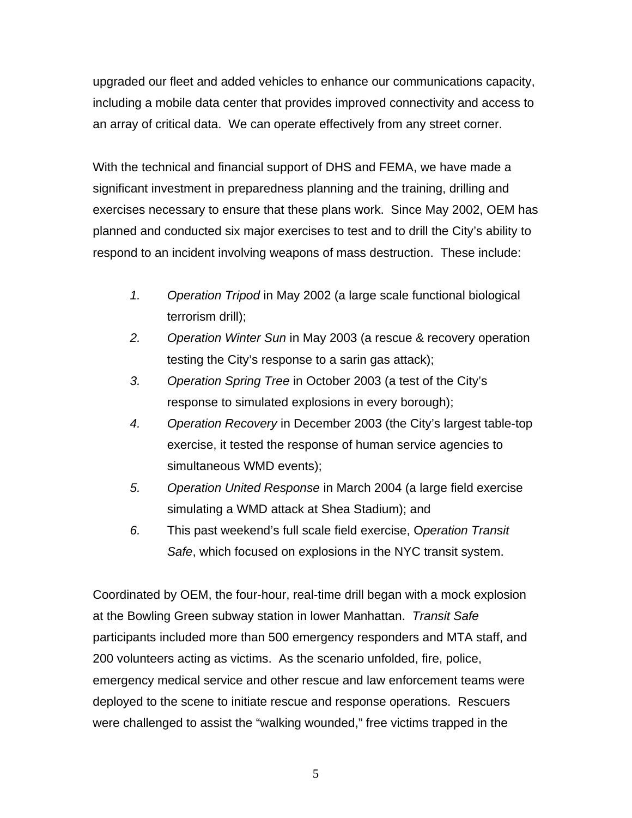upgraded our fleet and added vehicles to enhance our communications capacity, including a mobile data center that provides improved connectivity and access to an array of critical data. We can operate effectively from any street corner.

With the technical and financial support of DHS and FEMA, we have made a significant investment in preparedness planning and the training, drilling and exercises necessary to ensure that these plans work. Since May 2002, OEM has planned and conducted six major exercises to test and to drill the City's ability to respond to an incident involving weapons of mass destruction. These include:

- *1. Operation Tripod* in May 2002 (a large scale functional biological terrorism drill);
- *2. Operation Winter Sun* in May 2003 (a rescue & recovery operation testing the City's response to a sarin gas attack);
- *3. Operation Spring Tree* in October 2003 (a test of the City's response to simulated explosions in every borough);
- *4. Operation Recovery* in December 2003 (the City's largest table-top exercise, it tested the response of human service agencies to simultaneous WMD events);
- *5. Operation United Response* in March 2004 (a large field exercise simulating a WMD attack at Shea Stadium); and
- *6.* This past weekend's full scale field exercise, O*peration Transit Safe*, which focused on explosions in the NYC transit system.

Coordinated by OEM, the four-hour, real-time drill began with a mock explosion at the Bowling Green subway station in lower Manhattan. *Transit Safe* participants included more than 500 emergency responders and MTA staff, and 200 volunteers acting as victims. As the scenario unfolded, fire, police, emergency medical service and other rescue and law enforcement teams were deployed to the scene to initiate rescue and response operations. Rescuers were challenged to assist the "walking wounded," free victims trapped in the

 $\overline{5}$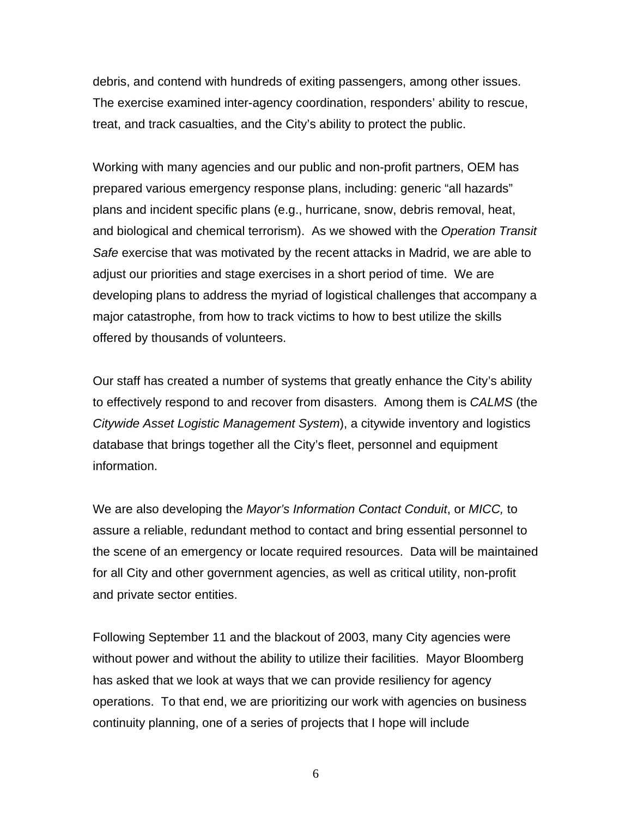debris, and contend with hundreds of exiting passengers, among other issues. The exercise examined inter-agency coordination, responders' ability to rescue, treat, and track casualties, and the City's ability to protect the public.

Working with many agencies and our public and non-profit partners, OEM has prepared various emergency response plans, including: generic "all hazards" plans and incident specific plans (e.g., hurricane, snow, debris removal, heat, and biological and chemical terrorism). As we showed with the *Operation Transit Safe* exercise that was motivated by the recent attacks in Madrid, we are able to adjust our priorities and stage exercises in a short period of time. We are developing plans to address the myriad of logistical challenges that accompany a major catastrophe, from how to track victims to how to best utilize the skills offered by thousands of volunteers.

Our staff has created a number of systems that greatly enhance the City's ability to effectively respond to and recover from disasters. Among them is *CALMS* (the *Citywide Asset Logistic Management System*), a citywide inventory and logistics database that brings together all the City's fleet, personnel and equipment information.

We are also developing the *Mayor's Information Contact Conduit*, or *MICC,* to assure a reliable, redundant method to contact and bring essential personnel to the scene of an emergency or locate required resources. Data will be maintained for all City and other government agencies, as well as critical utility, non-profit and private sector entities.

Following September 11 and the blackout of 2003, many City agencies were without power and without the ability to utilize their facilities. Mayor Bloomberg has asked that we look at ways that we can provide resiliency for agency operations. To that end, we are prioritizing our work with agencies on business continuity planning, one of a series of projects that I hope will include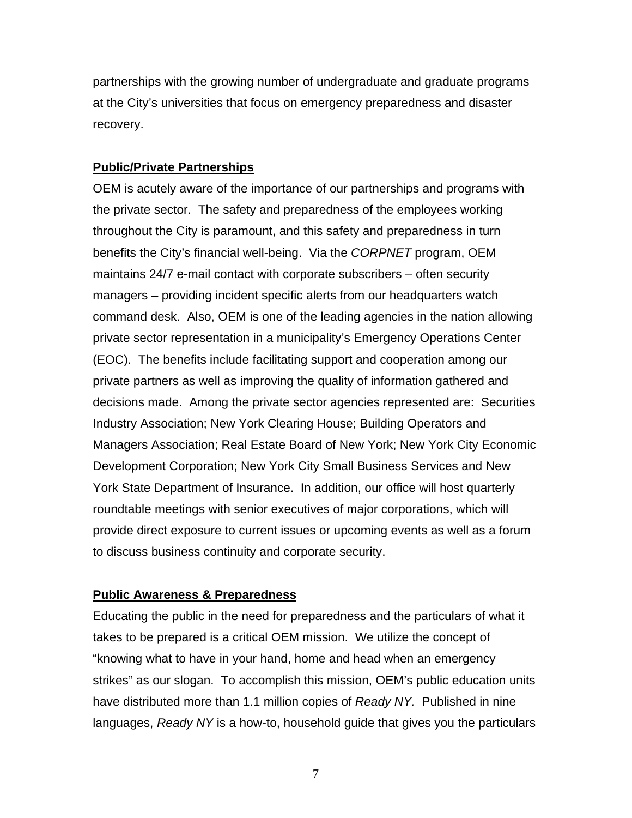partnerships with the growing number of undergraduate and graduate programs at the City's universities that focus on emergency preparedness and disaster recovery.

#### **Public/Private Partnerships**

OEM is acutely aware of the importance of our partnerships and programs with the private sector. The safety and preparedness of the employees working throughout the City is paramount, and this safety and preparedness in turn benefits the City's financial well-being. Via the *CORPNET* program, OEM maintains 24/7 e-mail contact with corporate subscribers – often security managers – providing incident specific alerts from our headquarters watch command desk. Also, OEM is one of the leading agencies in the nation allowing private sector representation in a municipality's Emergency Operations Center (EOC). The benefits include facilitating support and cooperation among our private partners as well as improving the quality of information gathered and decisions made. Among the private sector agencies represented are: Securities Industry Association; New York Clearing House; Building Operators and Managers Association; Real Estate Board of New York; New York City Economic Development Corporation; New York City Small Business Services and New York State Department of Insurance. In addition, our office will host quarterly roundtable meetings with senior executives of major corporations, which will provide direct exposure to current issues or upcoming events as well as a forum to discuss business continuity and corporate security.

#### **Public Awareness & Preparedness**

Educating the public in the need for preparedness and the particulars of what it takes to be prepared is a critical OEM mission. We utilize the concept of "knowing what to have in your hand, home and head when an emergency strikes" as our slogan. To accomplish this mission, OEM's public education units have distributed more than 1.1 million copies of *Ready NY.* Published in nine languages, *Ready NY* is a how-to, household guide that gives you the particulars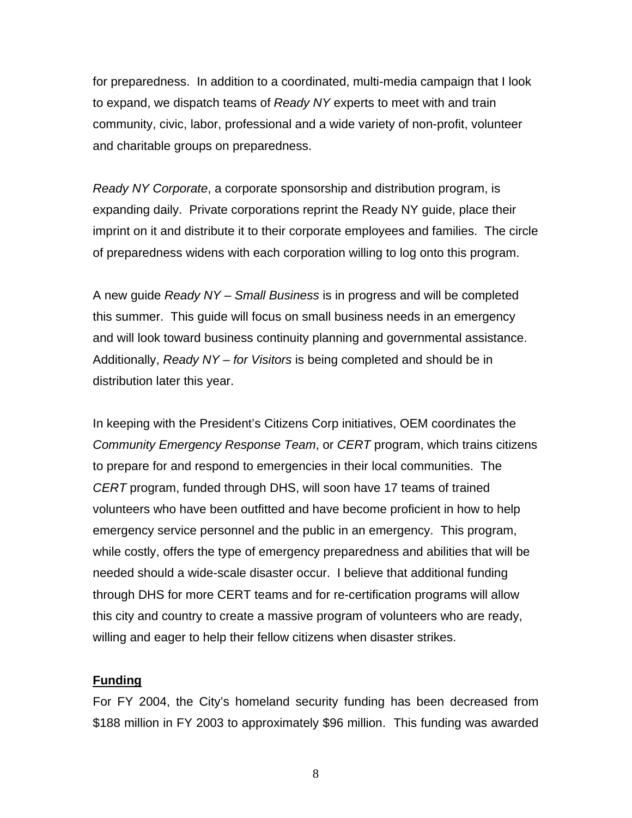for preparedness. In addition to a coordinated, multi-media campaign that I look to expand, we dispatch teams of *Ready NY* experts to meet with and train community, civic, labor, professional and a wide variety of non-profit, volunteer and charitable groups on preparedness.

*Ready NY Corporate*, a corporate sponsorship and distribution program, is expanding daily. Private corporations reprint the Ready NY guide, place their imprint on it and distribute it to their corporate employees and families. The circle of preparedness widens with each corporation willing to log onto this program.

A new guide *Ready NY – Small Business* is in progress and will be completed this summer. This guide will focus on small business needs in an emergency and will look toward business continuity planning and governmental assistance. Additionally, *Ready NY – for Visitors* is being completed and should be in distribution later this year.

In keeping with the President's Citizens Corp initiatives, OEM coordinates the *Community Emergency Response Team*, or *CERT* program, which trains citizens to prepare for and respond to emergencies in their local communities. The *CERT* program, funded through DHS, will soon have 17 teams of trained volunteers who have been outfitted and have become proficient in how to help emergency service personnel and the public in an emergency. This program, while costly, offers the type of emergency preparedness and abilities that will be needed should a wide-scale disaster occur. I believe that additional funding through DHS for more CERT teams and for re-certification programs will allow this city and country to create a massive program of volunteers who are ready, willing and eager to help their fellow citizens when disaster strikes.

#### **Funding**

For FY 2004, the City's homeland security funding has been decreased from \$188 million in FY 2003 to approximately \$96 million. This funding was awarded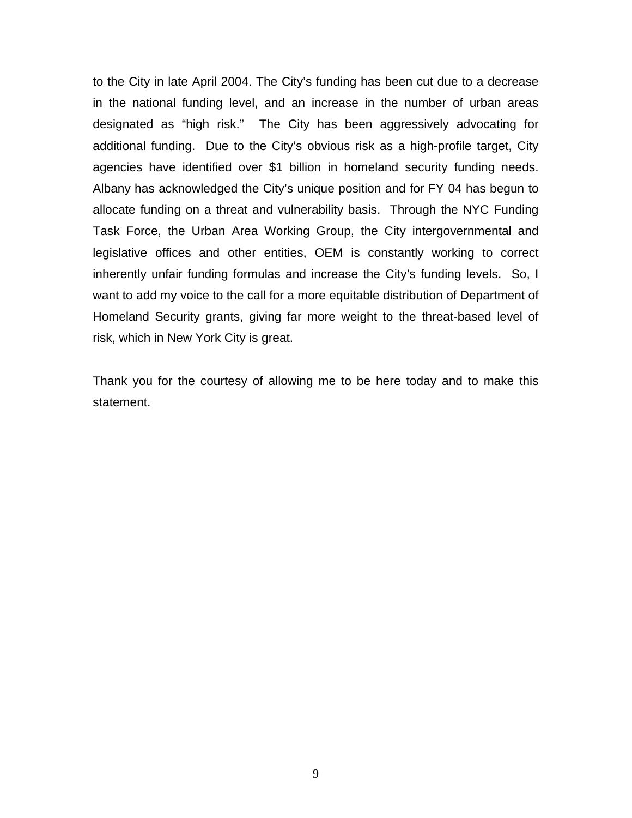to the City in late April 2004. The City's funding has been cut due to a decrease in the national funding level, and an increase in the number of urban areas designated as "high risk." The City has been aggressively advocating for additional funding. Due to the City's obvious risk as a high-profile target, City agencies have identified over \$1 billion in homeland security funding needs. Albany has acknowledged the City's unique position and for FY 04 has begun to allocate funding on a threat and vulnerability basis. Through the NYC Funding Task Force, the Urban Area Working Group, the City intergovernmental and legislative offices and other entities, OEM is constantly working to correct inherently unfair funding formulas and increase the City's funding levels. So, I want to add my voice to the call for a more equitable distribution of Department of Homeland Security grants, giving far more weight to the threat-based level of risk, which in New York City is great.

Thank you for the courtesy of allowing me to be here today and to make this statement.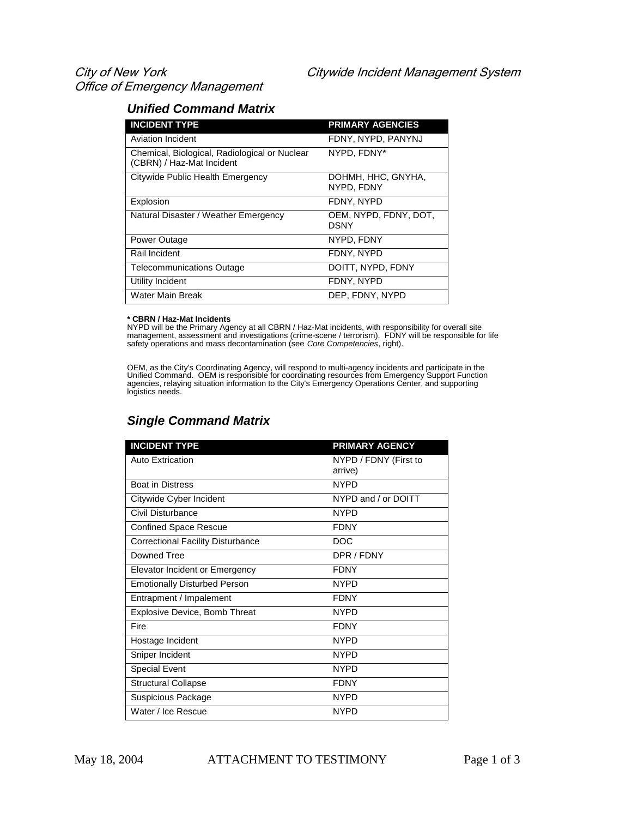#### *Unified Command Matrix*

| <b>INCIDENT TYPE</b>                                                       | <b>PRIMARY AGENCIES</b>          |
|----------------------------------------------------------------------------|----------------------------------|
| Aviation Incident                                                          | FDNY, NYPD, PANYNJ               |
| Chemical, Biological, Radiological or Nuclear<br>(CBRN) / Haz-Mat Incident | NYPD. FDNY*                      |
| Citywide Public Health Emergency                                           | DOHMH, HHC, GNYHA,<br>NYPD, FDNY |
| Explosion                                                                  | FDNY, NYPD                       |
| Natural Disaster / Weather Emergency                                       | OEM, NYPD, FDNY, DOT,<br>DSNY    |
| Power Outage                                                               | NYPD, FDNY                       |
| Rail Incident                                                              | FDNY, NYPD                       |
| <b>Telecommunications Outage</b>                                           | DOITT, NYPD, FDNY                |
| Utility Incident                                                           | FDNY, NYPD                       |
| Water Main Break                                                           | DEP, FDNY, NYPD                  |

**\* CBRN / Haz-Mat Incidents** NYPD will be the Primary Agency at all CBRN / Haz-Mat incidents, with responsibility for overall site<br>management, assessment and investigations (crime-scene / terrorism). FDNY will be responsible for life<br>safety operations

OEM, as the City's Coordinating Agency, will respond to multi-agency incidents and participate in the<br>Unified Command. OEM is responsible for coordinating resources from Emergency Support Function<br>agencies, relaying situa logistics needs.

#### *Single Command Matrix*

| <b>INCIDENT TYPE</b>                     | <b>PRIMARY AGENCY</b> |
|------------------------------------------|-----------------------|
| <b>Auto Extrication</b>                  | NYPD / FDNY (First to |
|                                          | arrive)               |
| <b>Boat in Distress</b>                  | <b>NYPD</b>           |
| Citywide Cyber Incident                  | NYPD and / or DOITT   |
| Civil Disturbance                        | <b>NYPD</b>           |
| <b>Confined Space Rescue</b>             | <b>FDNY</b>           |
| <b>Correctional Facility Disturbance</b> | <b>DOC</b>            |
| Downed Tree                              | DPR / FDNY            |
| Elevator Incident or Emergency           | <b>FDNY</b>           |
| <b>Emotionally Disturbed Person</b>      | <b>NYPD</b>           |
| Entrapment / Impalement                  | <b>FDNY</b>           |
| <b>Explosive Device, Bomb Threat</b>     | <b>NYPD</b>           |
| Fire                                     | <b>FDNY</b>           |
| Hostage Incident                         | <b>NYPD</b>           |
| Sniper Incident                          | <b>NYPD</b>           |
| <b>Special Event</b>                     | <b>NYPD</b>           |
| <b>Structural Collapse</b>               | <b>FDNY</b>           |
| Suspicious Package                       | <b>NYPD</b>           |
| Water / Ice Rescue                       | <b>NYPD</b>           |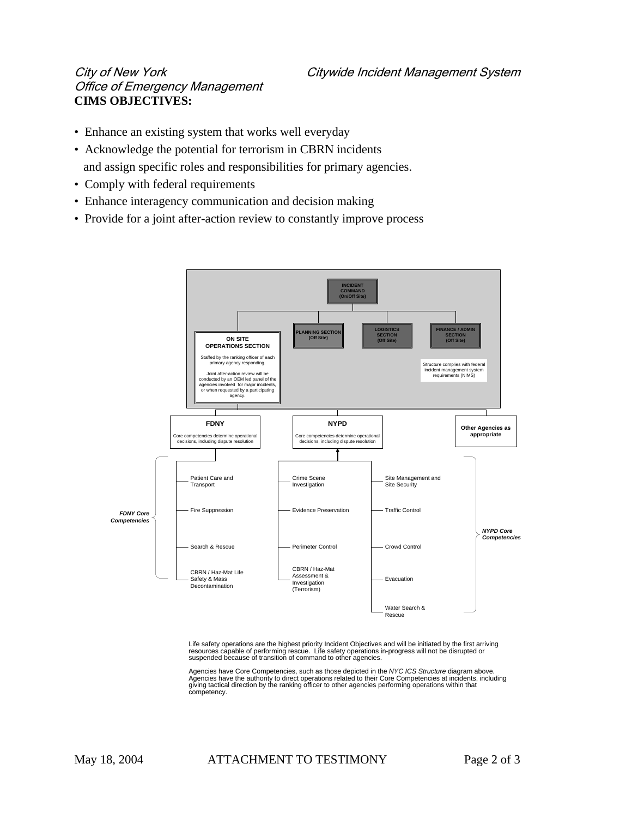## Office of Emergency Management **CIMS OBJECTIVES:**

- Enhance an existing system that works well everyday
- Acknowledge the potential for terrorism in CBRN incidents and assign specific roles and responsibilities for primary agencies.
- Comply with federal requirements
- Enhance interagency communication and decision making
- Provide for a joint after-action review to constantly improve process



Life safety operations are the highest priority Incident Objectives and will be initiated by the first arriving<br>resources capable of performing rescue. Life safety operations in-progress will not be disrupted or<br>suspended

Agencies have Core Competencies, such as those depicted in the NYC ICS Structure diagram above.<br>Agencies have the authority to direct operations related to their Core Competencies at incidents, including<br>giving tactical di